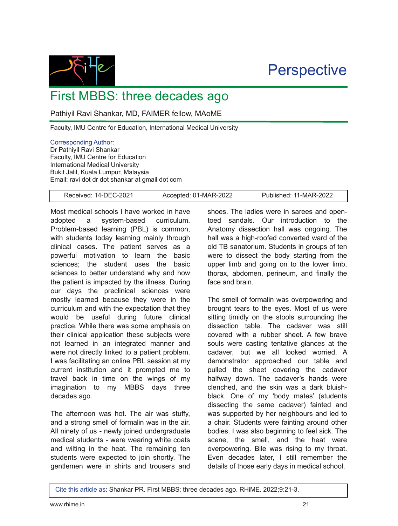**Perspective** 



First MBBS: three decades ago

Pathiyil Ravi Shankar, MD, FAIMER fellow, MAoME

Faculty, IMU Centre for Education, International Medical University

## Corresponding Author:

Dr Pathiyil Ravi Shankar Faculty, IMU Centre for Education International Medical University Bukit Jalil, Kuala Lumpur, Malaysia Email: ravi dot dr dot shankar at gmail dot com

Received: 14-DEC-2021 Accepted: 01-MAR-2022 Published: 11-MAR-2022

Most medical schools I have worked in have adopted a system-based curriculum. Problem-based learning (PBL) is common, with students today learning mainly through clinical cases. The patient serves as a powerful motivation to learn the basic sciences; the student uses the basic sciences to better understand why and how the patient is impacted by the illness. During our days the preclinical sciences were mostly learned because they were in the curriculum and with the expectation that they would be useful during future clinical practice. While there was some emphasis on their clinical application these subjects were not learned in an integrated manner and were not directly linked to a patient problem. I was facilitating an online PBL session at my current institution and it prompted me to travel back in time on the wings of my imagination to my MBBS days three decades ago.

The afternoon was hot. The air was stuffy, and a strong smell of formalin was in the air. All ninety of us - newly joined undergraduate medical students - were wearing white coats and wilting in the heat. The remaining ten students were expected to join shortly. The gentlemen were in shirts and trousers and shoes. The ladies were in sarees and opentoed sandals. Our introduction to the Anatomy dissection hall was ongoing. The hall was a high-roofed converted ward of the old TB sanatorium. Students in groups of ten were to dissect the body starting from the upper limb and going on to the lower limb, thorax, abdomen, perineum, and finally the face and brain.

The smell of formalin was overpowering and brought tears to the eyes. Most of us were sitting timidly on the stools surrounding the dissection table. The cadaver was still covered with a rubber sheet. A few brave souls were casting tentative glances at the cadaver, but we all looked worried. A demonstrator approached our table and pulled the sheet covering the cadaver halfway down. The cadaver's hands were clenched, and the skin was a dark bluishblack. One of my 'body mates' (students dissecting the same cadaver) fainted and was supported by her neighbours and led to a chair. Students were fainting around other bodies. I was also beginning to feel sick. The scene, the smell, and the heat were overpowering. Bile was rising to my throat. Even decades later, I still remember the details of those early days in medical school.

Cite this article as: Shankar PR. First MBBS: three decades ago. RHiME. 2022;9:213.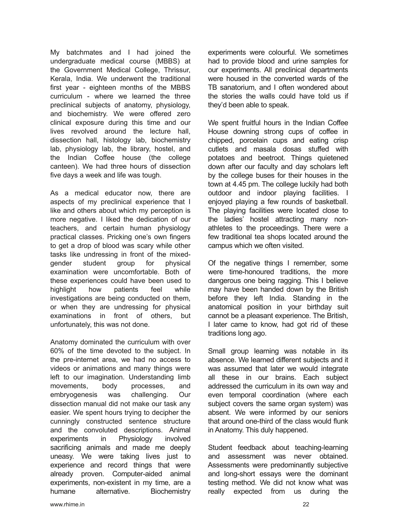My batchmates and I had joined the undergraduate medical course (MBBS) at the Government Medical College, Thrissur, Kerala, India. We underwent the traditional first year - eighteen months of the MBBS curriculum - where we learned the three preclinical subjects of anatomy, physiology, and biochemistry. We were offered zero clinical exposure during this time and our lives revolved around the lecture hall, dissection hall, histology lab, biochemistry lab, physiology lab, the library, hostel, and the Indian Coffee house (the college canteen). We had three hours of dissection five days a week and life was tough.

As a medical educator now, there are aspects of my preclinical experience that I like and others about which my perception is more negative. I liked the dedication of our teachers, and certain human physiology practical classes. Pricking one's own fingers to get a drop of blood was scary while other tasks like undressing in front of the mixedgender student group for physical examination were uncomfortable. Both of these experiences could have been used to highlight how patients feel while investigations are being conducted on them, or when they are undressing for physical examinations in front of others, but unfortunately, this was not done.

Anatomy dominated the curriculum with over 60% of the time devoted to the subject. In the pre-internet area, we had no access to videos or animations and many things were left to our imagination. Understanding limb movements, body processes, and embryogenesis was challenging. Our dissection manual did not make our task any easier. We spent hours trying to decipher the cunningly constructed sentence structure and the convoluted descriptions. Animal experiments in Physiology involved sacrificing animals and made me deeply uneasy. We were taking lives just to experience and record things that were already proven. Computer-aided animal experiments, non-existent in my time, are a humane alternative. Biochemistry

experiments were colourful. We sometimes had to provide blood and urine samples for our experiments. All preclinical departments were housed in the converted wards of the TB sanatorium, and I often wondered about the stories the walls could have told us if they'd been able to speak.

We spent fruitful hours in the Indian Coffee House downing strong cups of coffee in chipped, porcelain cups and eating crisp cutlets and masala dosas stuffed with potatoes and beetroot. Things quietened down after our faculty and day scholars left by the college buses for their houses in the town at 4.45 pm. The college luckily had both outdoor and indoor playing facilities. I enjoyed playing a few rounds of basketball. The playing facilities were located close to the ladies' hostel attracting many nonathletes to the proceedings. There were a few traditional tea shops located around the campus which we often visited.

Of the negative things I remember, some were time-honoured traditions, the more dangerous one being ragging. This I believe may have been handed down by the British before they left India. Standing in the anatomical position in your birthday suit cannot be a pleasant experience. The British, I later came to know, had got rid of these traditions long ago.

Small group learning was notable in its absence. We learned different subjects and it was assumed that later we would integrate all these in our brains. Each subject addressed the curriculum in its own way and even temporal coordination (where each subject covers the same organ system) was absent. We were informed by our seniors that around one-third of the class would flunk in Anatomy. This duly happened.

Student feedback about teaching-learning and assessment was never obtained. Assessments were predominantly subjective and long-short essays were the dominant testing method. We did not know what was really expected from us during the